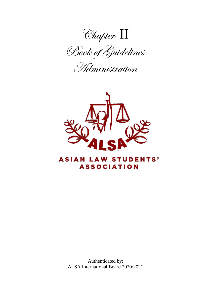

Administration



## **ASIAN LAW STUDENTS' ASSOCIATION**

Authenticated by: ALSA International Board 2020/2021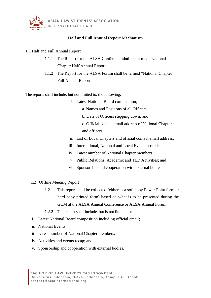

## **Half and Full Annual Report Mechanism**

## 1.1 Half and Full Annual Report

- 1.1.1 The Report for the ALSA Conference shall be termed "National Chapter Half Annual Report".
- 1.1.2 The Report for the ALSA Forum shall be termed "National Chapter Full Annual Report.

The reports shall include, but not limited to, the following:

- i. Latest National Board composition;
	- a. Names and Positions of all Officers;
	- b. Date of Officers stepping down; and
	- c. Official contact email address of National Chapter and officers.
- ii. List of Local Chapters and official contact email address;
- iii. International, National and Local Events hosted;
- iv. Latest number of National Chapter members;
- v. Public Relations, Academic and TED Activities; and
- vi. Sponsorship and cooperation with external bodies.
- 1.2 Offline Meeting Report
	- 1.2.1 This report shall be collected (either as a soft copy Power Point form or hard copy printed form) based on what is to be presented during the GCM at the ALSA Annual Conference or ALSA Annual Forum.
	- 1.2.2 This report shall include, but is not limited to:
- i. Latest National Board composition including official email;
- ii. National Events;
- iii. Latest number of National Chapter members;
- iv. Activities and events recap; and
- v. Sponsorship and cooperation with external bodies.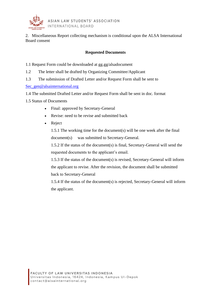

2. Miscellaneous Report collecting mechanism is conditional upon the ALSA International Board consent

## **Requested Documents**

- 1.1 Request Form could be downloaded at gg.gg/alsadocument
- 1.2 The letter shall be drafted by Organizing Committee/Applicant
- 1.3 The submission of Drafted Letter and/or Request Form shall be sent to

[Sec\\_gen@alsainternational.org](mailto:Sec_gen@alsainternational.org)

- 1.4 The submitted Drafted Letter and/or Request Form shall be sent in doc. format
- 1.5 Status of Documents
	- Final: approved by Secretary-General
	- Revise: need to be revise and submitted back
	- Reject

1.5.1 The working time for the document(s) will be one week after the final document(s) was submitted to Secretary-General.

1.5.2 If the status of the document(s) is final, Secretary-General will send the requested documents to the applicant's email.

1.5.3 If the status of the document(s) is revised, Secretary-General will inform the applicant to revise. After the revision, the document shall be submitted back to Secretary-General

1.5.4 If the status of the document(s) is rejected, Secretary-General will inform the applicant.